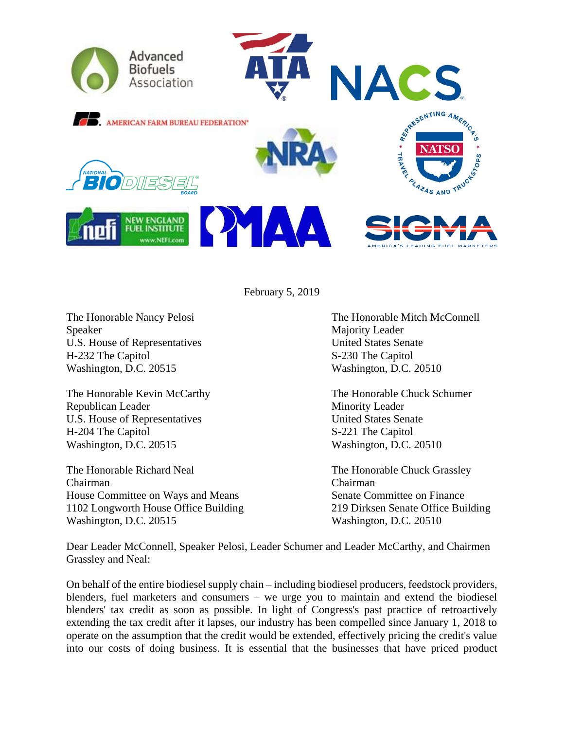

February 5, 2019

Speaker Majority Leader U.S. House of Representatives United States Senate H-232 The Capitol S-230 The Capitol Washington, D.C. 20515 Washington, D.C. 20510

Republican Leader Minority Leader U.S. House of Representatives United States Senate H-204 The Capitol S-221 The Capitol Washington, D.C. 20515 Washington, D.C. 20510

The Honorable Richard Neal The Honorable Chuck Grassley Chairman Chairman House Committee on Ways and Means Senate Committee on Finance 1102 Longworth House Office Building 219 Dirksen Senate Office Building Washington, D.C. 20515 Washington, D.C. 20510

The Honorable Nancy Pelosi The Honorable Mitch McConnell

The Honorable Kevin McCarthy The Honorable Chuck Schumer

Dear Leader McConnell, Speaker Pelosi, Leader Schumer and Leader McCarthy, and Chairmen Grassley and Neal:

On behalf of the entire biodiesel supply chain – including biodiesel producers, feedstock providers, blenders, fuel marketers and consumers – we urge you to maintain and extend the biodiesel blenders' tax credit as soon as possible. In light of Congress's past practice of retroactively extending the tax credit after it lapses, our industry has been compelled since January 1, 2018 to operate on the assumption that the credit would be extended, effectively pricing the credit's value into our costs of doing business. It is essential that the businesses that have priced product